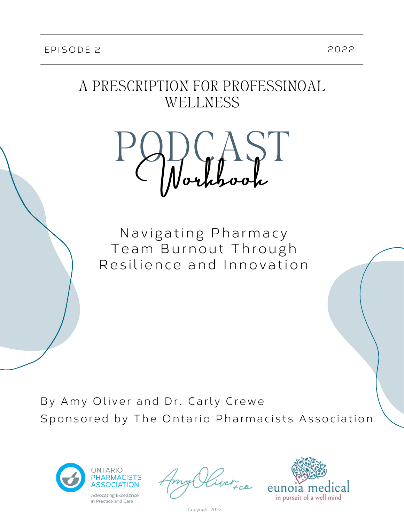### A PRESCRIPTION FOR PROFESSINOAL WELLNESS



Navigating Pharmacy Team Burnout Through Resilience and Innovation

By Amy Oliver and Dr. Carly Crewe Sponsored by The Ontario Pharmacists Association



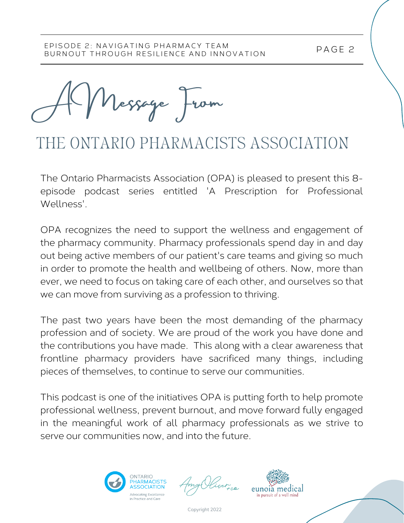P AGE 2

A Message From

# THE ONTARIO PHARMACISTS ASSOCIATION

The Ontario Pharmacists Association (OPA) is pleased to present this 8 episode podcast series entitled 'A Prescription for Professional Wellness'.

OPA recognizes the need to support the wellness and engagement of the pharmacy community. Pharmacy professionals spend day in and day out being active members of our patient's care teams and giving so much in order to promote the health and wellbeing of others. Now, more than ever, we need to focus on taking care of each other, and ourselves so that we can move from surviving as a profession to thriving.

The past two years have been the most demanding of the pharmacy profession and of society. We are proud of the work you have done and the contributions you have made. This along with a clear awareness that frontline pharmacy providers have sacrificed many things, including pieces of themselves, to continue to serve our communities.

This podcast is one of the initiatives OPA is putting forth to help promote professional wellness, prevent burnout, and move forward fully engaged in the meaningful work of all pharmacy professionals as we strive to serve our communities now, and into the future.



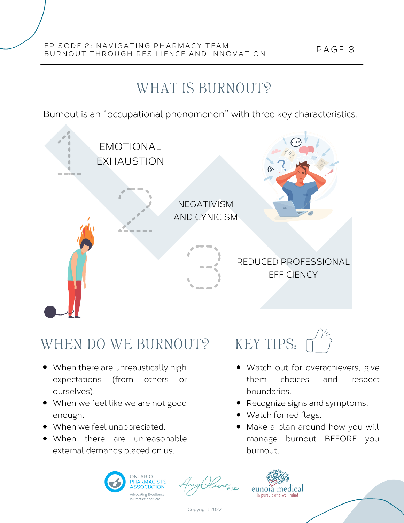## WHAT IS BURNOUT?

Burnout is an "occupational phenomenon" with three key characteristics.



# WHEN DO WE BURNOUT? KEY TIPS:

- When there are unrealistically high expectations (from others or ourselves).
- When we feel like we are not good enough.
- When we feel unappreciated.
- When there are unreasonable external demands placed on us.



- Watch out for overachievers, give them choices and respect boundaries.
- Recognize signs and symptoms.
- Watch for red flags.
- Make a plan around how you will manage burnout BEFORE you burnout.





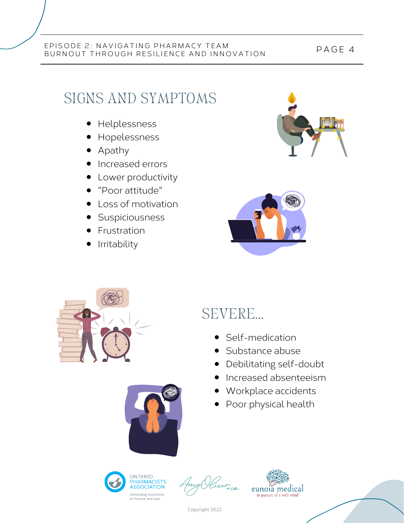## SIGNS AND SYMPTOMS

- **•** Helplessness
- Hopelessness
- Apathy
- Increased errors
- Lower productivity
- "Poor attitude"
- Loss of motivation
- **Suspiciousness**
- Frustration
- Irritability







## SEVERE...

- Self-medication
- Substance abuse
- Debilitating self-doubt  $\bullet$
- Increased absenteeism
- Workplace accidents
- Poor physical health







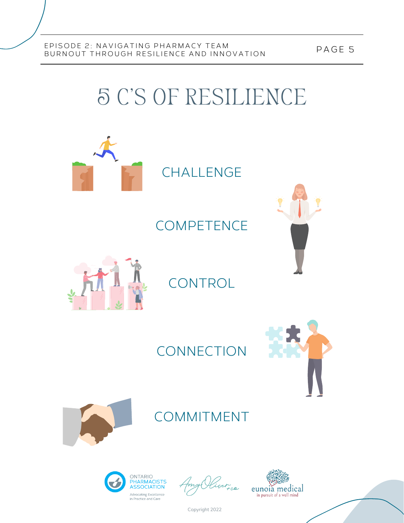5 C'S OF RESILIENCE



CHALLENGE

**COMPETENCE** 



CONTROL

### **CONNECTION**





### COMMITMENT



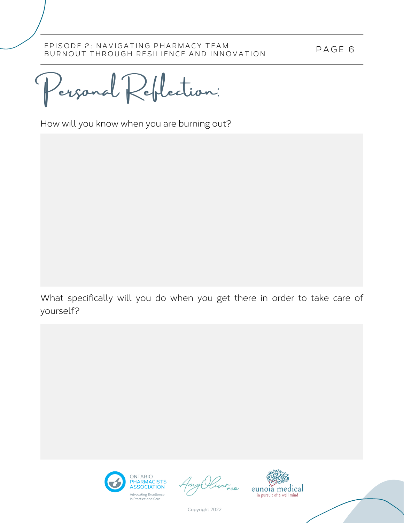P AGE 6

Personal Reflection:

How will you know when you are burning out?

What specifically will you do when you get there in order to take care of yourself?



iver<sub>ree</sub>

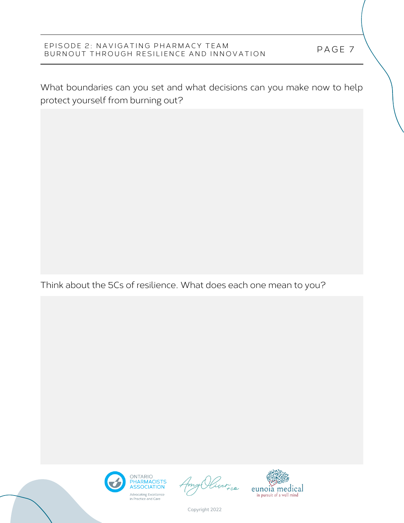What boundaries can you set and what decisions can you make now to help protect yourself from burning out?

Think about the 5Cs of resilience. What does each one mean to you?



iver ce

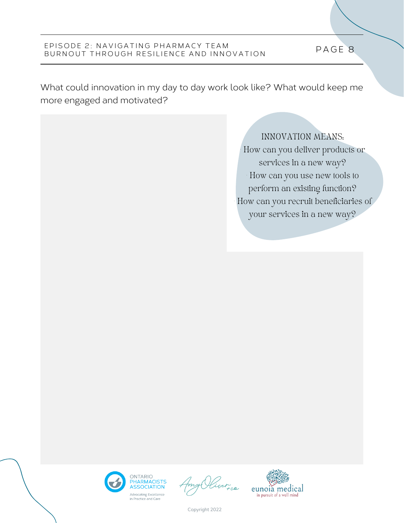What could innovation in my day to day work look like? What would keep me more engaged and motivated?

> INNOVATION MEANS: • How can you deliver products or services in a new way? • How can you use new tools to perform an existing function? • How can you recruit beneficiaries of your services in a new way?





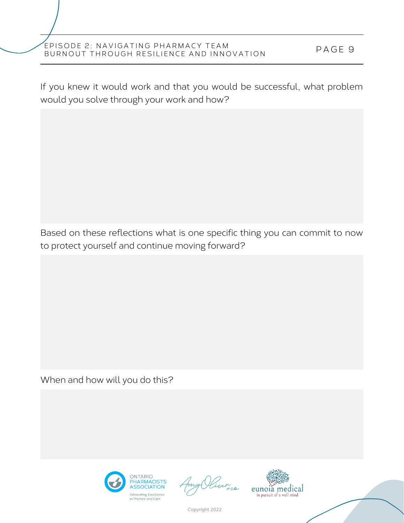If you knew it would work and that you would be successful, what problem would you solve through your work and how?

Based on these reflections what is one specific thing you can commit to now to protect yourself and continue moving forward?

When and how will you do this?



iver<sub>ica</sub>

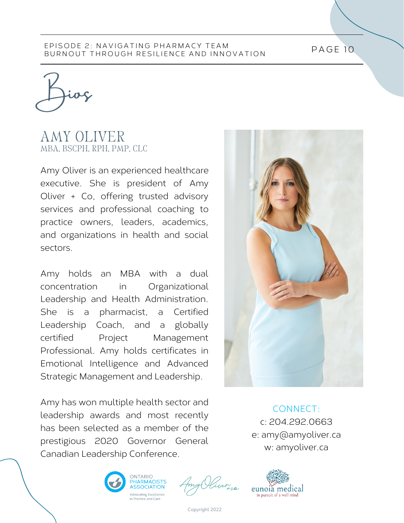PAGE 10

Bios

### AMY OLIVER MBA, BSCPH, RPH, PMP, CLC

Amy Oliver is an experienced healthcare executive. She is president of Amy Oliver + Co, offering trusted advisory services and professional coaching to practice owners, leaders, academics, and organizations in health and social sectors.

Amy holds an MBA with a dual concentration in Organizational Leadership and Health Administration. She is a pharmacist, a Certified Leadership Coach, and a globally certified Project Management Professional. Amy holds certificates in Emotional Intelligence and Advanced Strategic Management and Leadership.

Amy has won multiple health sector and leadership awards and most recently has been selected as a member of the prestigious 2020 Governor General Canadian Leadership Conference.







CONNECT: c: 204.292.0663 e: amy@amyoliver.ca w: amyoliver.ca

eunoia medical

in pursuit of a well min